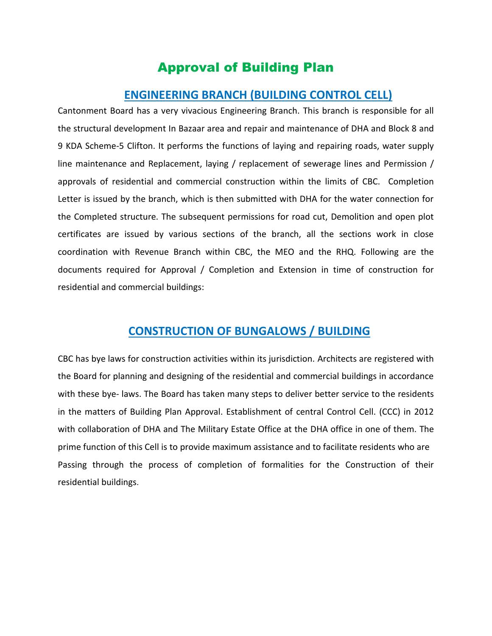# Approval of Building Plan

## **ENGINEERING BRANCH (BUILDING CONTROL CELL)**

Cantonment Board has a very vivacious Engineering Branch. This branch is responsible for all the structural development In Bazaar area and repair and maintenance of DHA and Block 8 and 9 KDA Scheme-5 Clifton. It performs the functions of laying and repairing roads, water supply line maintenance and Replacement, laying / replacement of sewerage lines and Permission / approvals of residential and commercial construction within the limits of CBC. Completion Letter is issued by the branch, which is then submitted with DHA for the water connection for the Completed structure. The subsequent permissions for road cut, Demolition and open plot certificates are issued by various sections of the branch, all the sections work in close coordination with Revenue Branch within CBC, the MEO and the RHQ. Following are the documents required for Approval / Completion and Extension in time of construction for residential and commercial buildings:

## **CONSTRUCTION OF BUNGALOWS / BUILDING**

CBC has bye laws for construction activities within its jurisdiction. Architects are registered with the Board for planning and designing of the residential and commercial buildings in accordance with these bye- laws. The Board has taken many steps to deliver better service to the residents in the matters of Building Plan Approval. Establishment of central Control Cell. (CCC) in 2012 with collaboration of DHA and The Military Estate Office at the DHA office in one of them. The prime function of this Cell is to provide maximum assistance and to facilitate residents who are Passing through the process of completion of formalities for the Construction of their residential buildings.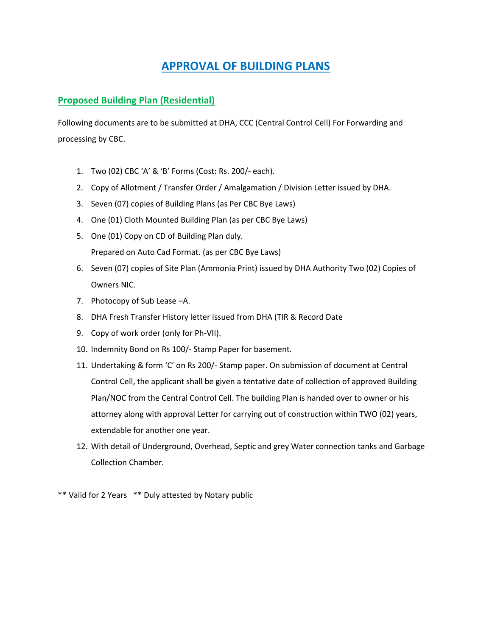# **APPROVAL OF BUILDING PLANS**

## **Proposed Building Plan (Residential)**

Following documents are to be submitted at DHA, CCC (Central Control Cell) For Forwarding and processing by CBC.

- 1. Two (02) CBC 'A' & 'B' Forms (Cost: Rs. 200/- each).
- 2. Copy of Allotment / Transfer Order / Amalgamation / Division Letter issued by DHA.
- 3. Seven (07) copies of Building Plans (as Per CBC Bye Laws)
- 4. One (01) Cloth Mounted Building Plan (as per CBC Bye Laws)
- 5. One (01) Copy on CD of Building Plan duly. Prepared on Auto Cad Format. (as per CBC Bye Laws)
- 6. Seven (07) copies of Site Plan (Ammonia Print) issued by DHA Authority Two (02) Copies of Owners NIC.
- 7. Photocopy of Sub Lease –A.
- 8. DHA Fresh Transfer History letter issued from DHA (TIR & Record Date
- 9. Copy of work order (only for Ph-VII).
- 10. Indemnity Bond on Rs 100/- Stamp Paper for basement.
- 11. Undertaking & form 'C' on Rs 200/- Stamp paper. On submission of document at Central Control Cell, the applicant shall be given a tentative date of collection of approved Building Plan/NOC from the Central Control Cell. The building Plan is handed over to owner or his attorney along with approval Letter for carrying out of construction within TWO (02) years, extendable for another one year.
- 12. With detail of Underground, Overhead, Septic and grey Water connection tanks and Garbage Collection Chamber.

\*\* Valid for 2 Years \*\* Duly attested by Notary public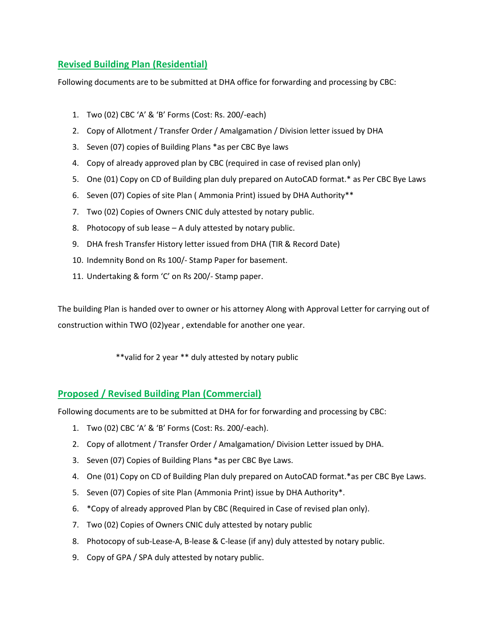## **Revised Building Plan (Residential)**

Following documents are to be submitted at DHA office for forwarding and processing by CBC:

- 1. Two (02) CBC 'A' & 'B' Forms (Cost: Rs. 200/-each)
- 2. Copy of Allotment / Transfer Order / Amalgamation / Division letter issued by DHA
- 3. Seven (07) copies of Building Plans \*as per CBC Bye laws
- 4. Copy of already approved plan by CBC (required in case of revised plan only)
- 5. One (01) Copy on CD of Building plan duly prepared on AutoCAD format.\* as Per CBC Bye Laws
- 6. Seven (07) Copies of site Plan ( Ammonia Print) issued by DHA Authority\*\*
- 7. Two (02) Copies of Owners CNIC duly attested by notary public.
- 8. Photocopy of sub lease A duly attested by notary public.
- 9. DHA fresh Transfer History letter issued from DHA (TIR & Record Date)
- 10. Indemnity Bond on Rs 100/- Stamp Paper for basement.
- 11. Undertaking & form 'C' on Rs 200/- Stamp paper.

The building Plan is handed over to owner or his attorney Along with Approval Letter for carrying out of construction within TWO (02)year , extendable for another one year.

\*\*valid for 2 year \*\* duly attested by notary public

## **Proposed / Revised Building Plan (Commercial)**

Following documents are to be submitted at DHA for for forwarding and processing by CBC:

- 1. Two (02) CBC 'A' & 'B' Forms (Cost: Rs. 200/-each).
- 2. Copy of allotment / Transfer Order / Amalgamation/ Division Letter issued by DHA.
- 3. Seven (07) Copies of Building Plans \*as per CBC Bye Laws.
- 4. One (01) Copy on CD of Building Plan duly prepared on AutoCAD format.\*as per CBC Bye Laws.
- 5. Seven (07) Copies of site Plan (Ammonia Print) issue by DHA Authority\*.
- 6. \*Copy of already approved Plan by CBC (Required in Case of revised plan only).
- 7. Two (02) Copies of Owners CNIC duly attested by notary public
- 8. Photocopy of sub-Lease-A, B-lease & C-lease (if any) duly attested by notary public.
- 9. Copy of GPA / SPA duly attested by notary public.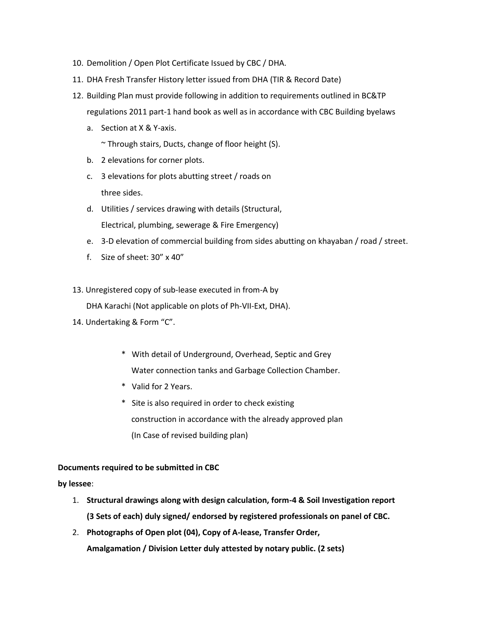- 10. Demolition / Open Plot Certificate Issued by CBC / DHA.
- 11. DHA Fresh Transfer History letter issued from DHA (TIR & Record Date)
- 12. Building Plan must provide following in addition to requirements outlined in BC&TP regulations 2011 part-1 hand book as well as in accordance with CBC Building byelaws
	- a. Section at X & Y-axis.
		- ~ Through stairs, Ducts, change of floor height (S).
	- b. 2 elevations for corner plots.
	- c. 3 elevations for plots abutting street / roads on three sides.
	- d. Utilities / services drawing with details (Structural, Electrical, plumbing, sewerage & Fire Emergency)
	- e. 3-D elevation of commercial building from sides abutting on khayaban / road / street.
	- f. Size of sheet: 30" x 40"
- 13. Unregistered copy of sub-lease executed in from-A by

DHA Karachi (Not applicable on plots of Ph-VII-Ext, DHA).

- 14. Undertaking & Form "C".
	- \* With detail of Underground, Overhead, Septic and Grey Water connection tanks and Garbage Collection Chamber.
	- \* Valid for 2 Years.
	- \* Site is also required in order to check existing construction in accordance with the already approved plan (In Case of revised building plan)

#### **Documents required to be submitted in CBC**

**by lessee**:

- 1. **Structural drawings along with design calculation, form-4 & Soil Investigation report (3 Sets of each) duly signed/ endorsed by registered professionals on panel of CBC.**
- 2. **Photographs of Open plot (04), Copy of A-lease, Transfer Order, Amalgamation / Division Letter duly attested by notary public. (2 sets)**